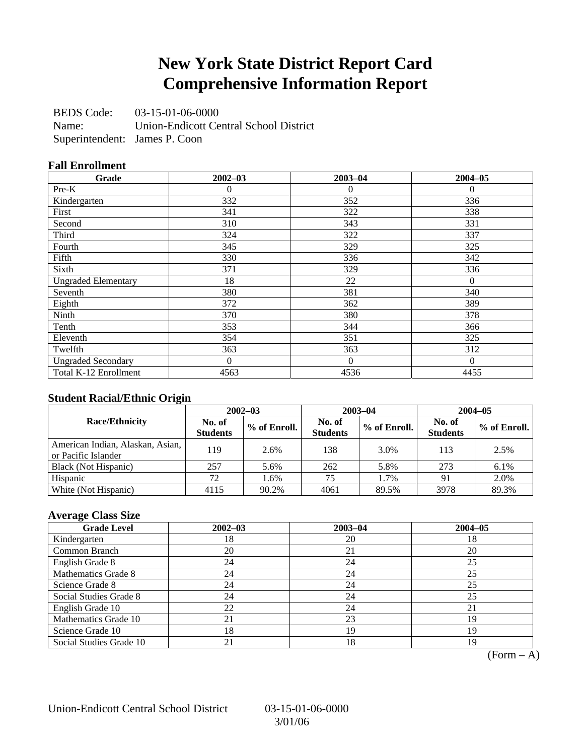### **New York State District Report Card Comprehensive Information Report**

BEDS Code: 03-15-01-06-0000 Name: Union-Endicott Central School District Superintendent: James P. Coon

#### **Fall Enrollment**

| Grade                      | $2002 - 03$    | $2003 - 04$ | $2004 - 05$ |
|----------------------------|----------------|-------------|-------------|
| $Pre-K$                    | 0              | $\Omega$    | $\Omega$    |
| Kindergarten               | 332            | 352         | 336         |
| First                      | 341            | 322         | 338         |
| Second                     | 310            | 343         | 331         |
| Third                      | 324            | 322         | 337         |
| Fourth                     | 345            | 329         | 325         |
| Fifth                      | 330            | 336         | 342         |
| Sixth                      | 371            | 329         | 336         |
| <b>Ungraded Elementary</b> | 18             | 22          | $\Omega$    |
| Seventh                    | 380            | 381         | 340         |
| Eighth                     | 372            | 362         | 389         |
| Ninth                      | 370            | 380         | 378         |
| Tenth                      | 353            | 344         | 366         |
| Eleventh                   | 354            | 351         | 325         |
| Twelfth                    | 363            | 363         | 312         |
| <b>Ungraded Secondary</b>  | $\overline{0}$ | $\Omega$    | $\Omega$    |
| Total K-12 Enrollment      | 4563           | 4536        | 4455        |

#### **Student Racial/Ethnic Origin**

|                                                         | $2002 - 03$               |              |                           | $2003 - 04$  | $2004 - 05$               |              |  |
|---------------------------------------------------------|---------------------------|--------------|---------------------------|--------------|---------------------------|--------------|--|
| <b>Race/Ethnicity</b>                                   | No. of<br><b>Students</b> | % of Enroll. | No. of<br><b>Students</b> | % of Enroll. | No. of<br><b>Students</b> | % of Enroll. |  |
| American Indian, Alaskan, Asian,<br>or Pacific Islander | 119                       | 2.6%         | 138                       | 3.0%         | 113                       | 2.5%         |  |
| Black (Not Hispanic)                                    | 257                       | 5.6%         | 262                       | 5.8%         | 273                       | $6.1\%$      |  |
| Hispanic                                                | 72                        | 1.6%         | 75                        | 1.7%         |                           | 2.0%         |  |
| White (Not Hispanic)                                    | 4115                      | 90.2%        | 4061                      | 89.5%        | 3978                      | 89.3%        |  |

#### **Average Class Size**

| <b>Grade Level</b>      | $2002 - 03$ | $2003 - 04$ | $2004 - 05$ |
|-------------------------|-------------|-------------|-------------|
| Kindergarten            | 18          | 20          | 18          |
| Common Branch           | 20          | 21          | 20          |
| English Grade 8         | 24          | 24          | 25          |
| Mathematics Grade 8     | 24          | 24          | 25          |
| Science Grade 8         | 24          | 24          | 25          |
| Social Studies Grade 8  | 24          | 24          | 25          |
| English Grade 10        | 22          | 24          | 21          |
| Mathematics Grade 10    | 21          | 23          | 19          |
| Science Grade 10        | 18          | 19          | 19          |
| Social Studies Grade 10 | 21          | 18          | 19          |

 $(Form - A)$ 

Union-Endicott Central School District 03-15-01-06-0000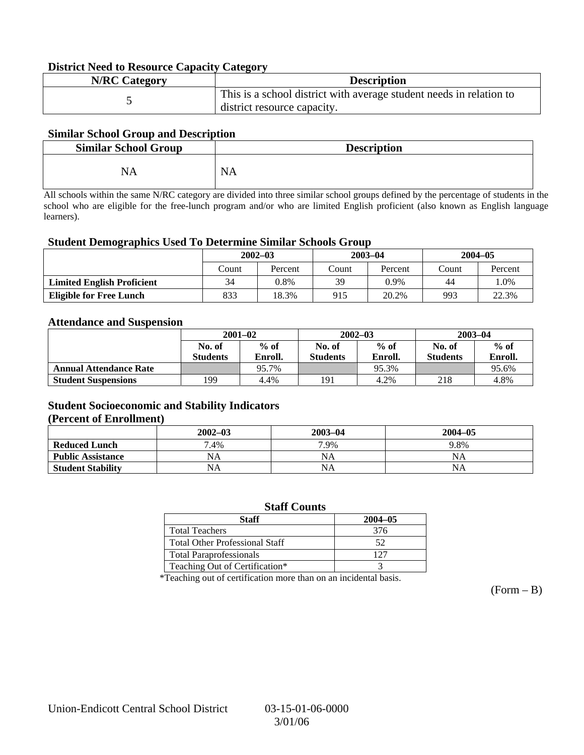#### **District Need to Resource Capacity Category**

| <b>N/RC Category</b> | <b>Description</b>                                                                                 |
|----------------------|----------------------------------------------------------------------------------------------------|
|                      | This is a school district with average student needs in relation to<br>district resource capacity. |

#### **Similar School Group and Description**

| <b>Similar School Group</b> | <b>Description</b> |
|-----------------------------|--------------------|
| NA                          | <b>NA</b>          |

All schools within the same N/RC category are divided into three similar school groups defined by the percentage of students in the school who are eligible for the free-lunch program and/or who are limited English proficient (also known as English language learners).

#### **Student Demographics Used To Determine Similar Schools Group**

|                                   | $2002 - 03$<br>Percent<br>Count |       |       | $2003 - 04$ | $2004 - 05$ |         |
|-----------------------------------|---------------------------------|-------|-------|-------------|-------------|---------|
|                                   |                                 |       | Count | Percent     | Count       | Percent |
| <b>Limited English Proficient</b> | 34                              | 0.8%  | 39    | 0.9%        | 44          | $.0\%$  |
| <b>Eligible for Free Lunch</b>    | 833                             | 18.3% | 915   | 20.2%       | 993         | 22.3%   |

#### **Attendance and Suspension**

|                               | $2001 - 02$      |         |                  | $2002 - 03$ | $2003 - 04$     |         |
|-------------------------------|------------------|---------|------------------|-------------|-----------------|---------|
|                               | $%$ of<br>No. of |         | $%$ of<br>No. of |             | No. of          | $%$ of  |
|                               | <b>Students</b>  | Enroll. | <b>Students</b>  | Enroll.     | <b>Students</b> | Enroll. |
| <b>Annual Attendance Rate</b> |                  | 95.7%   |                  | 95.3%       |                 | 95.6%   |
| <b>Student Suspensions</b>    | 199              | 4.4%    | 191              | 4.2%        | 218             | 4.8%    |

#### **Student Socioeconomic and Stability Indicators (Percent of Enrollment)**

|                          | $2002 - 03$ | 2003-04   | $2004 - 05$ |
|--------------------------|-------------|-----------|-------------|
| <b>Reduced Lunch</b>     | 7.4%        | 7.9%      | 9.8%        |
| <b>Public Assistance</b> | NA          | NA        | NA          |
| <b>Student Stability</b> | NA          | <b>NA</b> | NA          |

#### **Staff Counts**

| Staff                                 | $2004 - 05$ |
|---------------------------------------|-------------|
| <b>Total Teachers</b>                 | 376         |
| <b>Total Other Professional Staff</b> | 52          |
| <b>Total Paraprofessionals</b>        | 127         |
| Teaching Out of Certification*        |             |

\*Teaching out of certification more than on an incidental basis.

 $(Form - B)$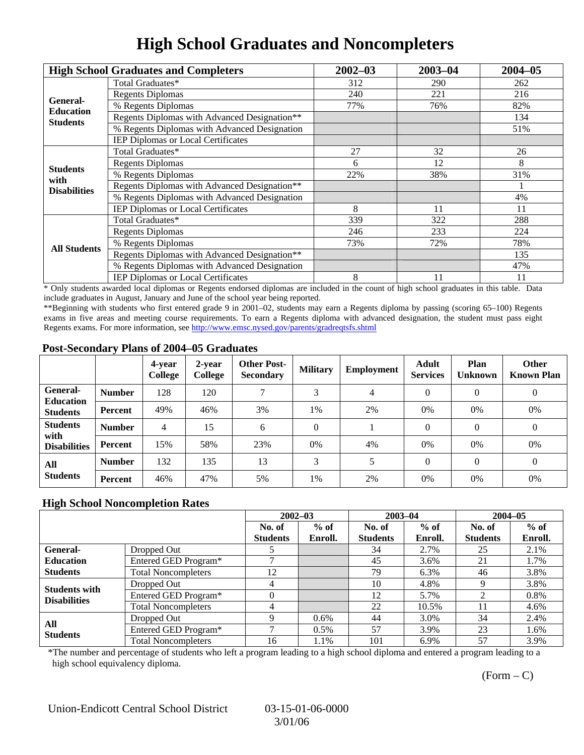# **High School Graduates and Noncompleters**

|                         | <b>High School Graduates and Completers</b>  | $2002 - 03$                                       | $2003 - 04$ | $2004 - 05$ |
|-------------------------|----------------------------------------------|---------------------------------------------------|-------------|-------------|
|                         | Total Graduates*                             | 312                                               | 290         | 262         |
| General-                | <b>Regents Diplomas</b>                      | 240                                               | 221         | 216         |
| <b>Education</b>        | % Regents Diplomas                           | 77%                                               | 76%         | 82%         |
| <b>Students</b>         | Regents Diplomas with Advanced Designation** |                                                   |             | 134         |
|                         | % Regents Diplomas with Advanced Designation |                                                   |             | 51%         |
|                         | IEP Diplomas or Local Certificates           |                                                   |             |             |
|                         | Total Graduates*                             | 27                                                | 32          | 26          |
|                         | <b>Regents Diplomas</b>                      | 6                                                 | 12          | 8           |
| <b>Students</b><br>with | % Regents Diplomas                           | 22%                                               | 38%         | 31%         |
| <b>Disabilities</b>     | Regents Diplomas with Advanced Designation** |                                                   |             |             |
|                         | % Regents Diplomas with Advanced Designation | 8<br>11<br>339<br>322<br>233<br>246<br>73%<br>72% | 4%          |             |
|                         | <b>IEP Diplomas or Local Certificates</b>    |                                                   |             | 11          |
|                         | Total Graduates*                             |                                                   |             | 288         |
|                         | <b>Regents Diplomas</b>                      |                                                   |             | 224         |
| <b>All Students</b>     | % Regents Diplomas                           |                                                   |             | 78%         |
|                         | Regents Diplomas with Advanced Designation** |                                                   |             | 135         |
|                         | % Regents Diplomas with Advanced Designation |                                                   |             | 47%         |
|                         | <b>IEP Diplomas or Local Certificates</b>    | 8                                                 | 11          | 11          |

\* Only students awarded local diplomas or Regents endorsed diplomas are included in the count of high school graduates in this table. Data include graduates in August, January and June of the school year being reported.

\*\*Beginning with students who first entered grade 9 in 2001–02, students may earn a Regents diploma by passing (scoring 65–100) Regents exams in five areas and meeting course requirements. To earn a Regents diploma with advanced designation, the student must pass eight Regents exams. For more information, see http://www.emsc.nysed.gov/parents/gradreqtsfs.shtml

#### **Post-Secondary Plans of 2004–05 Graduates**

|                                                |                | 4-year<br>College | 2-year<br>College | <b>Other Post-</b><br><b>Secondary</b> | <b>Military</b> | Employment | <b>Adult</b><br><b>Services</b> | Plan<br><b>Unknown</b> | <b>Other</b><br><b>Known Plan</b> |
|------------------------------------------------|----------------|-------------------|-------------------|----------------------------------------|-----------------|------------|---------------------------------|------------------------|-----------------------------------|
| General-<br><b>Education</b>                   | <b>Number</b>  | 128               | 120               |                                        | 3               | 4          | $\Omega$                        | $\theta$               | $\boldsymbol{0}$                  |
| <b>Students</b>                                | Percent        | 49%               | 46%               | 3%                                     | 1%              | 2%         | $0\%$                           | 0%                     | 0%                                |
| <b>Students</b><br>with<br><b>Disabilities</b> | <b>Number</b>  | 4                 | 15                | 6                                      | $\theta$        |            | $\Omega$                        | $\Omega$               | $\theta$                          |
|                                                | Percent        | 15%               | 58%               | 23%                                    | $0\%$           | 4%         | 0%                              | 0%                     | 0%                                |
| All<br><b>Students</b>                         | <b>Number</b>  | 132               | 135               | 13                                     | 3               |            | $\Omega$                        | $\Omega$               | $\overline{0}$                    |
|                                                | <b>Percent</b> | 46%               | 47%               | 5%                                     | 1%              | 2%         | 0%                              | 0%                     | 0%                                |

#### **High School Noncompletion Rates**

|                        |                            |                 | $2002 - 03$ |                 | $2003 - 04$ |                 | $2004 - 05$ |
|------------------------|----------------------------|-----------------|-------------|-----------------|-------------|-----------------|-------------|
|                        |                            | No. of          | $%$ of      | No. of          | $%$ of      | No. of          | $%$ of      |
|                        |                            | <b>Students</b> | Enroll.     | <b>Students</b> | Enroll.     | <b>Students</b> | Enroll.     |
| <b>General-</b>        | Dropped Out                |                 |             | 34              | 2.7%        | 25              | 2.1%        |
| <b>Education</b>       | Entered GED Program*       |                 |             | 45              | 3.6%        | 21              | 1.7%        |
| <b>Students</b>        | <b>Total Noncompleters</b> | 12              |             | 79              | 6.3%        | 46              | 3.8%        |
| <b>Students with</b>   | Dropped Out                | 4               |             | 10              | 4.8%        | 9               | 3.8%        |
| <b>Disabilities</b>    | Entered GED Program*       |                 |             | 12              | 5.7%        | ◠               | 0.8%        |
|                        | <b>Total Noncompleters</b> | 4               |             | 22              | 10.5%       | 11              | 4.6%        |
| All<br><b>Students</b> | Dropped Out                | Q               | $0.6\%$     | 44              | 3.0%        | 34              | 2.4%        |
|                        | Entered GED Program*       |                 | $0.5\%$     | 57              | 3.9%        | 23              | 1.6%        |
|                        | <b>Total Noncompleters</b> | 16              | 1.1%        | 101             | 6.9%        | 57              | 3.9%        |

\*The number and percentage of students who left a program leading to a high school diploma and entered a program leading to a high school equivalency diploma.

 $(Form - C)$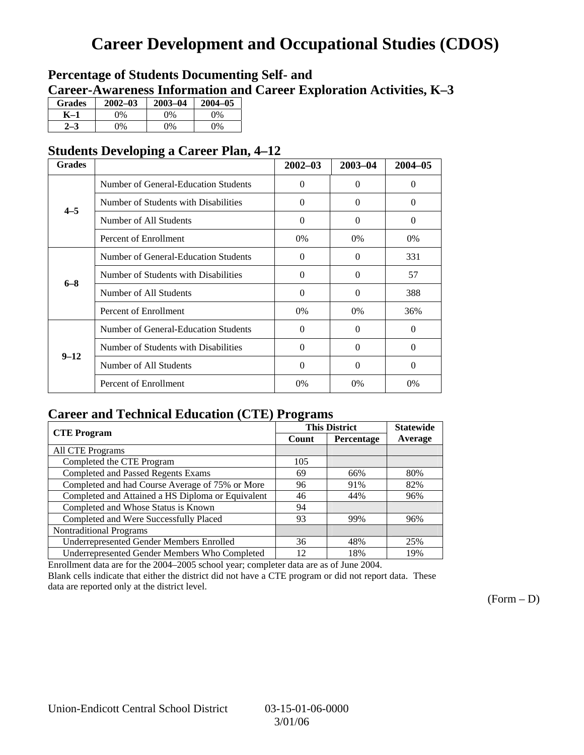## **Career Development and Occupational Studies (CDOS)**

### **Percentage of Students Documenting Self- and Career-Awareness Information and Career Exploration Activities, K–3**

| <b>Grades</b> | $2002 - 03$ | $2003 - 04$ | $2004 - 05$ |
|---------------|-------------|-------------|-------------|
| K–1           | 9%          | 0%          | 0%          |
|               | $\gamma\%$  | $0\%$       | 0%          |

### **Students Developing a Career Plan, 4–12**

| <b>Grades</b> |                                      | $2002 - 03$ | 2003-04           | $2004 - 05$ |
|---------------|--------------------------------------|-------------|-------------------|-------------|
|               | Number of General-Education Students | $\Omega$    | $\mathbf{\Omega}$ | 0           |
| $4 - 5$       | Number of Students with Disabilities | $\Omega$    | 0                 | $\Omega$    |
|               | Number of All Students               | $\Omega$    | $\Omega$          | $\Omega$    |
|               | Percent of Enrollment                | $0\%$       | 0%                | 0%          |
|               | Number of General-Education Students | $\Omega$    | $\theta$          | 331         |
| $6 - 8$       | Number of Students with Disabilities | $\Omega$    | $\theta$          | 57          |
|               | Number of All Students               | $\Omega$    | $\Omega$          | 388         |
|               | Percent of Enrollment                | $0\%$       | $0\%$             | 36%         |
|               | Number of General-Education Students | $\Omega$    | $\Omega$          | $\Omega$    |
| $9 - 12$      | Number of Students with Disabilities | $\Omega$    | $\Omega$          | $\Omega$    |
|               | Number of All Students               | $\Omega$    | $\Omega$          | $\Omega$    |
|               | Percent of Enrollment                | 0%          | $0\%$             | $0\%$       |

### **Career and Technical Education (CTE) Programs**

| <b>CTE</b> Program                                | ິ     | <b>This District</b> | <b>Statewide</b> |
|---------------------------------------------------|-------|----------------------|------------------|
|                                                   | Count | Percentage           | Average          |
| <b>All CTE Programs</b>                           |       |                      |                  |
| Completed the CTE Program                         | 105   |                      |                  |
| <b>Completed and Passed Regents Exams</b>         | 69    | 66%                  | 80%              |
| Completed and had Course Average of 75% or More   | 96    | 91%                  | 82%              |
| Completed and Attained a HS Diploma or Equivalent | 46    | 44%                  | 96%              |
| Completed and Whose Status is Known               | 94    |                      |                  |
| Completed and Were Successfully Placed            | 93    | 99%                  | 96%              |
| <b>Nontraditional Programs</b>                    |       |                      |                  |
| <b>Underrepresented Gender Members Enrolled</b>   | 36    | 48%                  | 25%              |
| Underrepresented Gender Members Who Completed     | 12    | 18%                  | 19%              |

Enrollment data are for the 2004–2005 school year; completer data are as of June 2004.

Blank cells indicate that either the district did not have a CTE program or did not report data. These data are reported only at the district level.

 $(Form - D)$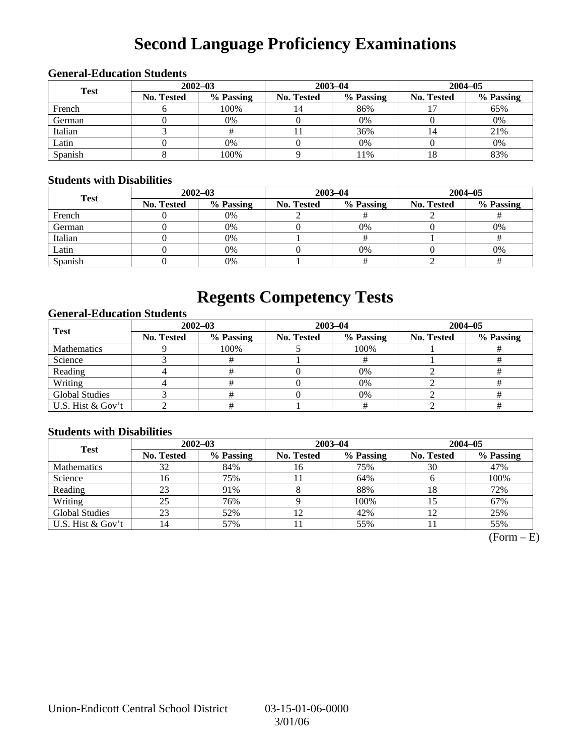# **Second Language Proficiency Examinations**

| <b>Test</b> | $2002 - 03$       |           |            | $2003 - 04$ | $2004 - 05$       |           |  |
|-------------|-------------------|-----------|------------|-------------|-------------------|-----------|--|
|             | <b>No. Tested</b> | % Passing | No. Tested | % Passing   | <b>No. Tested</b> | % Passing |  |
| French      |                   | 100%      | 14         | 86%         |                   | 65%       |  |
| German      |                   | 0%        |            | 0%          |                   | 0%        |  |
| Italian     |                   |           |            | 36%         |                   | 21%       |  |
| Latin       |                   | 0%        |            | $0\%$       |                   | 0%        |  |
| Spanish     |                   | 100%      |            | 11%         | 10.               | 83%       |  |

#### **General-Education Students**

#### **Students with Disabilities**

| <b>Test</b> | $2002 - 03$ |           |            | $2003 - 04$ | $2004 - 05$ |           |  |
|-------------|-------------|-----------|------------|-------------|-------------|-----------|--|
|             | No. Tested  | % Passing | No. Tested | % Passing   | No. Tested  | % Passing |  |
| French      |             | 0%        |            |             |             |           |  |
| German      |             | 0%        |            | $0\%$       |             | 0%        |  |
| Italian     |             | 0%        |            |             |             |           |  |
| Latin       |             | 0%        |            | $0\%$       |             | 0%        |  |
| Spanish     |             | 0%        |            |             |             |           |  |

### **Regents Competency Tests**

#### **General-Education Students**

| Test                  | $2002 - 03$       |           |            | $2003 - 04$ | $2004 - 05$ |           |  |
|-----------------------|-------------------|-----------|------------|-------------|-------------|-----------|--|
|                       | <b>No. Tested</b> | % Passing | No. Tested | % Passing   | No. Tested  | % Passing |  |
| <b>Mathematics</b>    |                   | 100%      |            | 100%        |             |           |  |
| Science               |                   |           |            |             |             |           |  |
| Reading               |                   |           |            | $0\%$       |             |           |  |
| Writing               |                   |           |            | 0%          |             |           |  |
| <b>Global Studies</b> |                   |           |            | 0%          |             |           |  |
| U.S. Hist & Gov't     |                   |           |            |             |             |           |  |

#### **Students with Disabilities**

| <b>Test</b>           | $2002 - 03$ |           | $2003 - 04$ |           | $2004 - 05$ |           |  |
|-----------------------|-------------|-----------|-------------|-----------|-------------|-----------|--|
|                       | No. Tested  | % Passing | No. Tested  | % Passing | No. Tested  | % Passing |  |
| <b>Mathematics</b>    | 32          | 84%       | 16          | 75%       | 30          | 47%       |  |
| Science               | 16          | 75%       |             | 64%       |             | 100%      |  |
| Reading               | 23          | 91%       |             | 88%       | 18          | 72%       |  |
| Writing               | 25          | 76%       |             | 100%      |             | 67%       |  |
| <b>Global Studies</b> | 23          | 52%       | 12          | 42%       |             | 25%       |  |
| U.S. Hist & Gov't     | l4          | 57%       | 11          | 55%       |             | 55%       |  |

 $(Form - E)$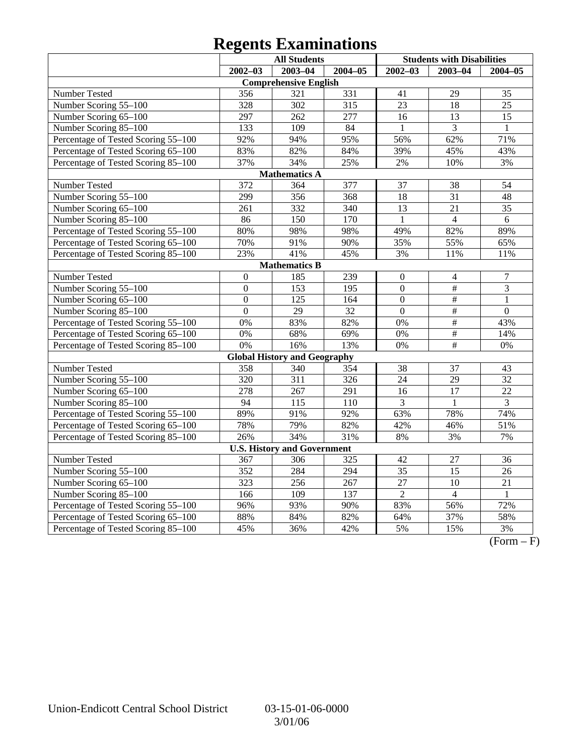# **Regents Examinations**

| <b>All Students</b>                 |                  |                                     |                  | <b>Students with Disabilities</b> |                 |                 |
|-------------------------------------|------------------|-------------------------------------|------------------|-----------------------------------|-----------------|-----------------|
|                                     | $2002 - 03$      | $2003 - 04$                         | $2004 - 05$      | $2002 - 03$                       | $2003 - 04$     | $2004 - 05$     |
|                                     |                  | <b>Comprehensive English</b>        |                  |                                   |                 |                 |
| Number Tested                       | 356              | 321                                 | 331              | 41                                | 29              | 35              |
| Number Scoring 55-100               | 328              | 302                                 | 315              | 23                                | 18              | 25              |
| Number Scoring 65-100               | 297              | 262                                 | 277              | 16                                | 13              | 15              |
| Number Scoring 85-100               | 133              | 109                                 | 84               | $\mathbf{1}$                      | 3               | $\mathbf{1}$    |
| Percentage of Tested Scoring 55-100 | 92%              | 94%                                 | 95%              | 56%                               | 62%             | 71%             |
| Percentage of Tested Scoring 65-100 | 83%              | 82%                                 | 84%              | 39%                               | 45%             | 43%             |
| Percentage of Tested Scoring 85-100 | 37%              | 34%                                 | 25%              | 2%                                | 10%             | 3%              |
|                                     |                  | <b>Mathematics A</b>                |                  |                                   |                 |                 |
| Number Tested                       | $\overline{372}$ | 364                                 | 377              | 37                                | 38              | 54              |
| Number Scoring 55-100               | 299              | 356                                 | 368              | 18                                | 31              | 48              |
| Number Scoring 65-100               | 261              | 332                                 | 340              | 13                                | 21              | 35              |
| Number Scoring 85-100               | 86               | $\overline{150}$                    | $\overline{170}$ | $\mathbf{1}$                      | $\overline{4}$  | 6               |
| Percentage of Tested Scoring 55-100 | 80%              | 98%                                 | 98%              | 49%                               | 82%             | 89%             |
| Percentage of Tested Scoring 65-100 | 70%              | 91%                                 | 90%              | 35%                               | 55%             | 65%             |
| Percentage of Tested Scoring 85-100 | 23%              | 41%                                 | 45%              | 3%                                | 11%             | 11%             |
|                                     |                  | <b>Mathematics B</b>                |                  |                                   |                 |                 |
| Number Tested                       | $\boldsymbol{0}$ | 185                                 | 239              | $\overline{0}$                    | $\overline{4}$  | $\overline{7}$  |
| Number Scoring 55-100               | $\mathbf{0}$     | 153                                 | 195              | $\overline{0}$                    | $\overline{\#}$ | 3               |
| Number Scoring 65-100               | $\boldsymbol{0}$ | 125                                 | 164              | $\overline{0}$                    | $\overline{\#}$ | $\mathbf{1}$    |
| Number Scoring 85-100               | $\overline{0}$   | 29                                  | 32               | $\overline{0}$                    | #               | $\overline{0}$  |
| Percentage of Tested Scoring 55-100 | 0%               | 83%                                 | 82%              | 0%                                | $\overline{\#}$ | 43%             |
| Percentage of Tested Scoring 65-100 | 0%               | 68%                                 | 69%              | 0%                                | $\#$            | 14%             |
| Percentage of Tested Scoring 85-100 | 0%               | 16%                                 | 13%              | 0%                                | $\overline{\#}$ | 0%              |
|                                     |                  | <b>Global History and Geography</b> |                  |                                   |                 |                 |
| Number Tested                       | 358              | 340                                 | 354              | 38                                | 37              | 43              |
| Number Scoring 55-100               | 320              | $\overline{311}$                    | $\overline{326}$ | $\overline{24}$                   | $\overline{29}$ | $\overline{32}$ |
| Number Scoring 65-100               | 278              | 267                                 | 291              | 16                                | 17              | 22              |
| Number Scoring 85-100               | 94               | 115                                 | 110              | 3                                 | $\mathbf{1}$    | 3               |
| Percentage of Tested Scoring 55-100 | 89%              | 91%                                 | 92%              | 63%                               | 78%             | 74%             |
| Percentage of Tested Scoring 65-100 | 78%              | 79%                                 | 82%              | 42%                               | 46%             | 51%             |
| Percentage of Tested Scoring 85-100 | 26%              | 34%                                 | 31%              | 8%                                | 3%              | 7%              |
|                                     |                  | <b>U.S. History and Government</b>  |                  |                                   |                 |                 |
| Number Tested                       | 367              | 306                                 | 325              | 42                                | 27              | 36              |
| Number Scoring 55-100               | 352              | 284                                 | 294              | 35                                | $\overline{15}$ | 26              |
| Number Scoring 65-100               | 323              | 256                                 | 267              | 27                                | 10              | 21              |
| Number Scoring 85-100               | 166              | 109                                 | 137              | $\overline{2}$                    | $\overline{4}$  | $\mathbf{1}$    |
| Percentage of Tested Scoring 55-100 | 96%              | 93%                                 | 90%              | 83%                               | 56%             | 72%             |
| Percentage of Tested Scoring 65-100 | 88%              | 84%                                 | 82%              | 64%                               | 37%             | 58%             |
| Percentage of Tested Scoring 85-100 | 45%              | 36%                                 | 42%              | 5%                                | 15%             | 3%              |

 $(Form - F)$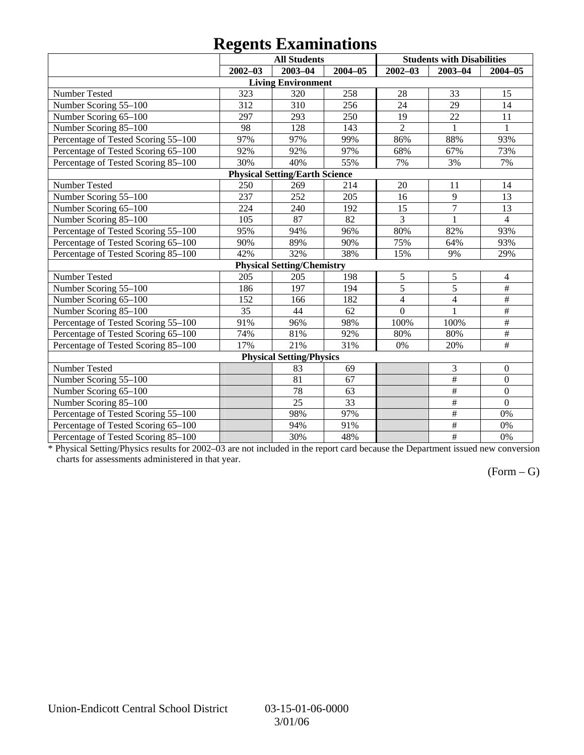## **Regents Examinations**

|                                     | o           | <b>All Students</b>                   |         |                | <b>Students with Disabilities</b> |                         |
|-------------------------------------|-------------|---------------------------------------|---------|----------------|-----------------------------------|-------------------------|
|                                     | $2002 - 03$ | 2003-04                               | 2004-05 | $2002 - 03$    | $2003 - 04$                       | $2004 - 05$             |
|                                     |             | <b>Living Environment</b>             |         |                |                                   |                         |
| Number Tested                       | 323         | 320                                   | 258     | 28             | 33                                | 15                      |
| Number Scoring 55-100               | 312         | 310                                   | 256     | 24             | 29                                | 14                      |
| Number Scoring 65-100               | 297         | 293                                   | 250     | 19             | 22                                | 11                      |
| Number Scoring 85-100               | 98          | 128                                   | 143     | $\overline{2}$ | $\mathbf{1}$                      | $\mathbf{1}$            |
| Percentage of Tested Scoring 55-100 | 97%         | 97%                                   | 99%     | 86%            | 88%                               | 93%                     |
| Percentage of Tested Scoring 65-100 | 92%         | 92%                                   | 97%     | 68%            | 67%                               | 73%                     |
| Percentage of Tested Scoring 85-100 | 30%         | 40%                                   | 55%     | 7%             | 3%                                | 7%                      |
|                                     |             | <b>Physical Setting/Earth Science</b> |         |                |                                   |                         |
| Number Tested                       | 250         | 269                                   | 214     | 20             | 11                                | 14                      |
| Number Scoring 55-100               | 237         | 252                                   | 205     | 16             | 9                                 | 13                      |
| Number Scoring 65-100               | 224         | 240                                   | 192     | 15             | $\overline{7}$                    | 13                      |
| Number Scoring 85-100               | 105         | 87                                    | 82      | $\overline{3}$ | $\mathbf{1}$                      | $\overline{4}$          |
| Percentage of Tested Scoring 55-100 | 95%         | 94%                                   | 96%     | 80%            | 82%                               | 93%                     |
| Percentage of Tested Scoring 65-100 | 90%         | 89%                                   | 90%     | 75%            | 64%                               | 93%                     |
| Percentage of Tested Scoring 85-100 | 42%         | 32%                                   | 38%     | 15%            | 9%                                | 29%                     |
|                                     |             | <b>Physical Setting/Chemistry</b>     |         |                |                                   |                         |
| Number Tested                       | 205         | 205                                   | 198     | $\sqrt{5}$     | 5                                 | $\overline{\mathbf{4}}$ |
| Number Scoring 55-100               | 186         | 197                                   | 194     | $\overline{5}$ | 5                                 | #                       |
| Number Scoring 65-100               | 152         | 166                                   | 182     | $\overline{4}$ | $\overline{4}$                    | $\overline{\#}$         |
| Number Scoring 85-100               | 35          | 44                                    | 62      | $\overline{0}$ | 1                                 | $\overline{\#}$         |
| Percentage of Tested Scoring 55-100 | 91%         | 96%                                   | 98%     | 100%           | 100%                              | $\overline{\#}$         |
| Percentage of Tested Scoring 65-100 | 74%         | 81%                                   | 92%     | 80%            | 80%                               | $\#$                    |
| Percentage of Tested Scoring 85-100 | 17%         | 21%                                   | 31%     | 0%             | 20%                               | $\#$                    |
|                                     |             | <b>Physical Setting/Physics</b>       |         |                |                                   |                         |
| Number Tested                       |             | 83                                    | 69      |                | 3                                 | $\boldsymbol{0}$        |
| Number Scoring 55-100               |             | 81                                    | 67      |                | $\#$                              | $\boldsymbol{0}$        |
| Number Scoring 65-100               |             | 78                                    | 63      |                | $\#$                              | $\boldsymbol{0}$        |
| Number Scoring 85-100               |             | 25                                    | 33      |                | $\#$                              | $\overline{0}$          |
| Percentage of Tested Scoring 55-100 |             | 98%                                   | 97%     |                | $\overline{\#}$                   | 0%                      |
| Percentage of Tested Scoring 65-100 |             | 94%                                   | 91%     |                | $\overline{\ddot{}}$              | 0%                      |
| Percentage of Tested Scoring 85-100 |             | 30%                                   | 48%     |                | $\overline{\#}$                   | 0%                      |

\* Physical Setting/Physics results for 2002–03 are not included in the report card because the Department issued new conversion charts for assessments administered in that year.

#### $(Form - G)$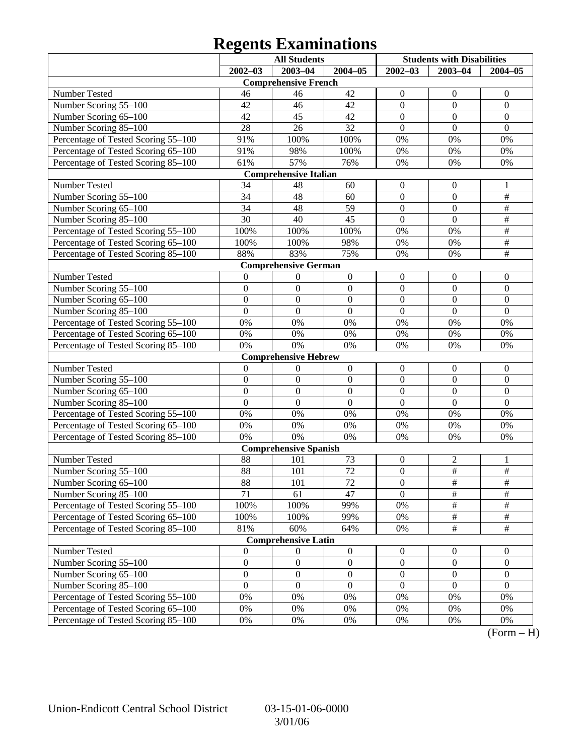## **Regents Examinations**

|                                     |                  | <b>All Students</b>          |                  | <b>Students with Disabilities</b> |                  |                  |
|-------------------------------------|------------------|------------------------------|------------------|-----------------------------------|------------------|------------------|
|                                     | $2002 - 03$      | $2003 - 04$                  | $2004 - 05$      | $2002 - 03$                       | $2003 - 04$      | $2004 - 05$      |
|                                     |                  | <b>Comprehensive French</b>  |                  |                                   |                  |                  |
| Number Tested                       | 46               | 46                           | 42               | $\boldsymbol{0}$                  | $\mathbf{0}$     | $\mathbf{0}$     |
| Number Scoring 55-100               | 42               | 46                           | 42               | $\boldsymbol{0}$                  | $\boldsymbol{0}$ | $\boldsymbol{0}$ |
| Number Scoring 65-100               | 42               | 45                           | 42               | $\boldsymbol{0}$                  | $\overline{0}$   | $\mathbf{0}$     |
| Number Scoring 85-100               | 28               | 26                           | 32               | $\overline{0}$                    | $\overline{0}$   | $\mathbf{0}$     |
| Percentage of Tested Scoring 55-100 | 91%              | 100%                         | 100%             | 0%                                | 0%               | 0%               |
| Percentage of Tested Scoring 65-100 | 91%              | 98%                          | 100%             | 0%                                | 0%               | 0%               |
| Percentage of Tested Scoring 85-100 | 61%              | 57%                          | 76%              | 0%                                | 0%               | 0%               |
|                                     |                  | <b>Comprehensive Italian</b> |                  |                                   |                  |                  |
| Number Tested                       | 34               | 48                           | 60               | $\boldsymbol{0}$                  | $\mathbf{0}$     | 1                |
| Number Scoring 55-100               | 34               | 48                           | 60               | $\boldsymbol{0}$                  | $\boldsymbol{0}$ | $\#$             |
| Number Scoring 65-100               | 34               | 48                           | 59               | $\boldsymbol{0}$                  | $\overline{0}$   | $\overline{\#}$  |
| Number Scoring 85-100               | 30               | 40                           | 45               | $\overline{0}$                    | $\overline{0}$   | $\overline{\#}$  |
| Percentage of Tested Scoring 55-100 | 100%             | 100%                         | 100%             | 0%                                | 0%               | $\overline{\#}$  |
| Percentage of Tested Scoring 65-100 | 100%             | 100%                         | 98%              | 0%                                | 0%               | $\overline{\#}$  |
| Percentage of Tested Scoring 85-100 | 88%              | 83%                          | 75%              | 0%                                | 0%               | $\overline{\#}$  |
|                                     |                  | <b>Comprehensive German</b>  |                  |                                   |                  |                  |
| Number Tested                       | $\boldsymbol{0}$ | $\boldsymbol{0}$             | $\boldsymbol{0}$ | $\boldsymbol{0}$                  | $\boldsymbol{0}$ | $\boldsymbol{0}$ |
| Number Scoring 55-100               | $\boldsymbol{0}$ | $\boldsymbol{0}$             | $\boldsymbol{0}$ | $\boldsymbol{0}$                  | $\boldsymbol{0}$ | $\boldsymbol{0}$ |
| Number Scoring 65-100               | $\boldsymbol{0}$ | $\boldsymbol{0}$             | $\boldsymbol{0}$ | $\boldsymbol{0}$                  | $\boldsymbol{0}$ | $\boldsymbol{0}$ |
| Number Scoring 85-100               | $\mathbf{0}$     | $\mathbf{0}$                 | $\boldsymbol{0}$ | $\mathbf{0}$                      | $\boldsymbol{0}$ | $\mathbf{0}$     |
| Percentage of Tested Scoring 55-100 | 0%               | 0%                           | $0\%$            | 0%                                | 0%               | 0%               |
| Percentage of Tested Scoring 65-100 | $0\%$            | 0%                           | $0\%$            | 0%                                | 0%               | 0%               |
| Percentage of Tested Scoring 85-100 | 0%               | 0%                           | $0\%$            | 0%                                | 0%               | 0%               |
|                                     |                  | <b>Comprehensive Hebrew</b>  |                  |                                   |                  |                  |
| Number Tested                       | $\boldsymbol{0}$ | $\boldsymbol{0}$             | $\boldsymbol{0}$ | $\boldsymbol{0}$                  | $\mathbf{0}$     | $\mathbf{0}$     |
| Number Scoring 55-100               | $\boldsymbol{0}$ | $\boldsymbol{0}$             | $\boldsymbol{0}$ | $\boldsymbol{0}$                  | $\boldsymbol{0}$ | $\boldsymbol{0}$ |
| Number Scoring 65-100               | $\boldsymbol{0}$ | $\boldsymbol{0}$             | $\boldsymbol{0}$ | $\boldsymbol{0}$                  | $\overline{0}$   | $\boldsymbol{0}$ |
| Number Scoring 85-100               | $\overline{0}$   | $\mathbf{0}$                 | $\overline{0}$   | $\overline{0}$                    | $\overline{0}$   | $\mathbf{0}$     |
| Percentage of Tested Scoring 55-100 | 0%               | 0%                           | $0\%$            | 0%                                | 0%               | 0%               |
| Percentage of Tested Scoring 65-100 | $0\%$            | 0%                           | $0\%$            | 0%                                | 0%               | 0%               |
| Percentage of Tested Scoring 85-100 | 0%               | 0%                           | $0\%$            | 0%                                | 0%               | 0%               |
|                                     |                  | <b>Comprehensive Spanish</b> |                  |                                   |                  |                  |
| Number Tested                       | 88               | 101                          | 73               | $\boldsymbol{0}$                  | $\overline{c}$   | 1                |
| Number Scoring 55-100               | 88               | 101                          | 72               | $\boldsymbol{0}$                  | $\overline{\#}$  | $\overline{\#}$  |
| Number Scoring 65-100               | 88               | 101                          | 72               | $\boldsymbol{0}$                  | #                | #                |
| Number Scoring 85-100               | 71               | 61                           | 47               | $\overline{0}$                    | $\overline{\#}$  | $\overline{\#}$  |
| Percentage of Tested Scoring 55-100 | 100%             | 100%                         | 99%              | 0%                                | $\frac{1}{2}$    | $\#$             |
| Percentage of Tested Scoring 65-100 | 100%             | 100%                         | 99%              | 0%                                | $\frac{1}{2}$    | $\frac{1}{2}$    |
| Percentage of Tested Scoring 85-100 | 81%              | 60%                          | 64%              | 0%                                | $\overline{\#}$  | $\overline{\#}$  |
|                                     |                  | <b>Comprehensive Latin</b>   |                  |                                   |                  |                  |
| Number Tested                       | $\boldsymbol{0}$ | $\boldsymbol{0}$             | $\boldsymbol{0}$ | $\boldsymbol{0}$                  | $\overline{0}$   | $\overline{0}$   |
| Number Scoring 55-100               | $\boldsymbol{0}$ | $\boldsymbol{0}$             | $\boldsymbol{0}$ | $\boldsymbol{0}$                  | $\boldsymbol{0}$ | $\boldsymbol{0}$ |
| Number Scoring 65-100               | $\boldsymbol{0}$ | $\boldsymbol{0}$             | $\boldsymbol{0}$ | $\boldsymbol{0}$                  | $\boldsymbol{0}$ | $\boldsymbol{0}$ |
| Number Scoring 85-100               | $\boldsymbol{0}$ | $\boldsymbol{0}$             | $\boldsymbol{0}$ | $\boldsymbol{0}$                  | $\boldsymbol{0}$ | $\boldsymbol{0}$ |
| Percentage of Tested Scoring 55-100 | $0\%$            | 0%                           | 0%               | 0%                                | 0%               | 0%               |
| Percentage of Tested Scoring 65-100 | $0\%$            | 0%                           | 0%               | 0%                                | 0%               | 0%               |
| Percentage of Tested Scoring 85-100 | 0%               | 0%                           | 0%               | 0%                                | 0%               | 0%               |

 $(Form - H)$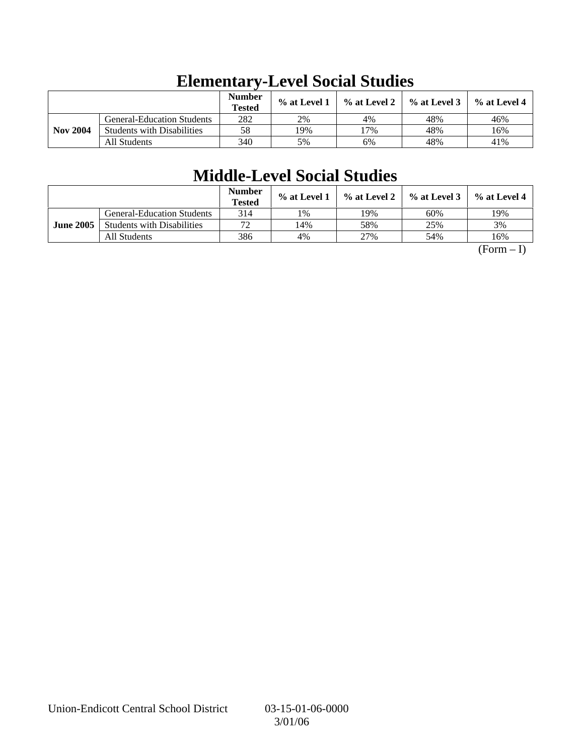|                 |                                   | <b>Number</b><br><b>Tested</b> | $%$ at Level 1 | $\%$ at Level 2 | $%$ at Level 3 | $%$ at Level 4 |
|-----------------|-----------------------------------|--------------------------------|----------------|-----------------|----------------|----------------|
|                 | <b>General-Education Students</b> | 282                            | 2%             | 4%              | 48%            | 46%            |
| <b>Nov 2004</b> | <b>Students with Disabilities</b> | 58                             | 19%            | 17%             | 48%            | 16%            |
|                 | All Students                      | 340                            | 5%             | 6%              | 48%            | 41%            |

# **Elementary-Level Social Studies**

# **Middle-Level Social Studies**

|                  |                                   | <b>Number</b><br><b>Tested</b> | % at Level 1 | % at Level 2 | $%$ at Level 3 | $%$ at Level 4 |
|------------------|-----------------------------------|--------------------------------|--------------|--------------|----------------|----------------|
|                  | <b>General-Education Students</b> | 314                            | 1%           | ! 9%         | 60%            | 19%            |
| <b>June 2005</b> | <b>Students with Disabilities</b> | 70                             | 14%          | 58%          | 25%            | 3%             |
|                  | All Students                      | 386                            | 4%           | 27%          | 54%            | 16%            |

 $(Form - I)$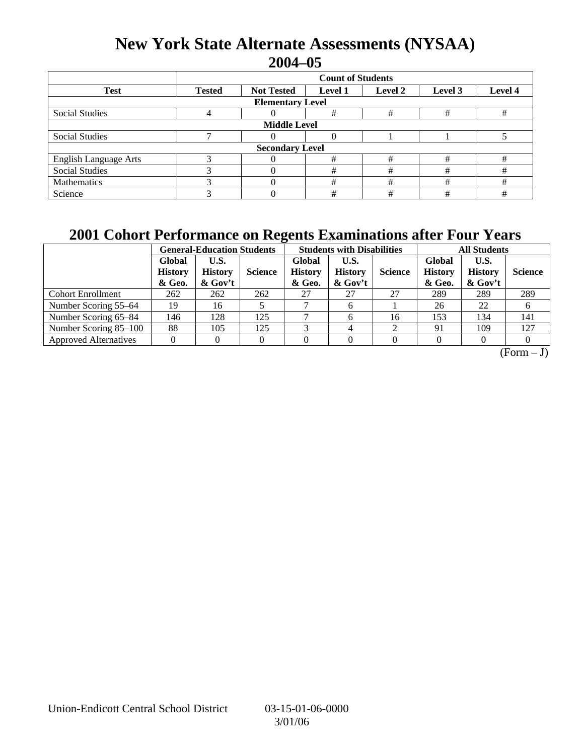### **New York State Alternate Assessments (NYSAA) 2004–05**

|                              | <b>Count of Students</b>                                                              |  |   |   |   |   |  |  |  |
|------------------------------|---------------------------------------------------------------------------------------|--|---|---|---|---|--|--|--|
| <b>Test</b>                  | Level 4<br><b>Tested</b><br><b>Not Tested</b><br><b>Level 1</b><br>Level 2<br>Level 3 |  |   |   |   |   |  |  |  |
| <b>Elementary Level</b>      |                                                                                       |  |   |   |   |   |  |  |  |
| Social Studies               |                                                                                       |  | # | # | # | # |  |  |  |
| <b>Middle Level</b>          |                                                                                       |  |   |   |   |   |  |  |  |
| Social Studies               |                                                                                       |  |   |   |   |   |  |  |  |
| <b>Secondary Level</b>       |                                                                                       |  |   |   |   |   |  |  |  |
| <b>English Language Arts</b> |                                                                                       |  | # | # | # | # |  |  |  |
| <b>Social Studies</b>        |                                                                                       |  | # | # | # | # |  |  |  |
| Mathematics                  |                                                                                       |  | # | # | # | # |  |  |  |
| Science                      |                                                                                       |  | # | # | # | # |  |  |  |

### **2001 Cohort Performance on Regents Examinations after Four Years**

|                              | <b>General-Education Students</b>  |                                      |                |                                    | <b>Students with Disabilities</b>    |                |                                    | <b>All Students</b>                  |                |  |
|------------------------------|------------------------------------|--------------------------------------|----------------|------------------------------------|--------------------------------------|----------------|------------------------------------|--------------------------------------|----------------|--|
|                              | Global<br><b>History</b><br>& Geo. | U.S.<br><b>History</b><br>$\&$ Gov't | <b>Science</b> | Global<br><b>History</b><br>& Geo. | U.S.<br><b>History</b><br>$\&$ Gov't | <b>Science</b> | Global<br><b>History</b><br>& Geo. | U.S.<br><b>History</b><br>$\&$ Gov't | <b>Science</b> |  |
| <b>Cohort Enrollment</b>     | 262                                | 262                                  | 262            | 27                                 | 27                                   | 27             | 289                                | 289                                  | 289            |  |
| Number Scoring 55–64         | 19                                 | 16                                   |                |                                    | 6                                    |                | 26                                 | 22                                   |                |  |
| Number Scoring 65–84         | 146                                | 128                                  | 125            |                                    | 6                                    | 16             | 153                                | 134                                  | 141            |  |
| Number Scoring 85–100        | 88                                 | 105                                  | 125            |                                    |                                      |                | 91                                 | 109                                  | 127            |  |
| <b>Approved Alternatives</b> |                                    |                                      |                |                                    |                                      |                |                                    |                                      |                |  |

 $\overline{(Form - J)}$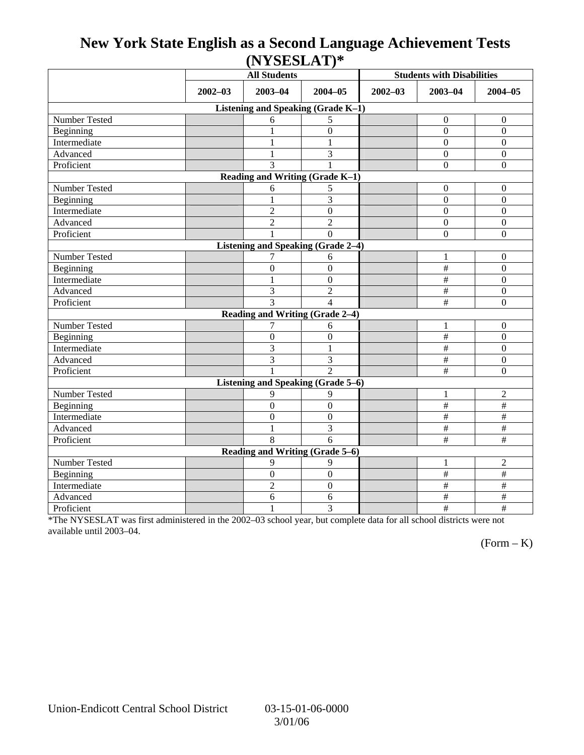### **New York State English as a Second Language Achievement Tests (NYSESLAT)\***

|                                           |             | <b>All Students</b>        |                                 | <b>Students with Disabilities</b> |                  |                           |  |  |  |
|-------------------------------------------|-------------|----------------------------|---------------------------------|-----------------------------------|------------------|---------------------------|--|--|--|
|                                           | $2002 - 03$ | $2003 - 04$<br>$2004 - 05$ |                                 | $2002 - 03$                       | $2003 - 04$      | $2004 - 05$               |  |  |  |
| Listening and Speaking (Grade K-1)        |             |                            |                                 |                                   |                  |                           |  |  |  |
| Number Tested                             |             | 6                          | 5                               |                                   | $\boldsymbol{0}$ | $\boldsymbol{0}$          |  |  |  |
| Beginning                                 |             |                            | $\overline{0}$                  |                                   | $\Omega$         | $\boldsymbol{0}$          |  |  |  |
| Intermediate                              |             | 1                          | 1                               |                                   | $\mathbf{0}$     | $\boldsymbol{0}$          |  |  |  |
| Advanced                                  |             | $\mathbf{1}$               | 3                               |                                   | $\mathbf{0}$     | $\boldsymbol{0}$          |  |  |  |
| Proficient                                |             | 3                          |                                 |                                   | $\mathbf{0}$     | $\boldsymbol{0}$          |  |  |  |
| Reading and Writing (Grade K-1)           |             |                            |                                 |                                   |                  |                           |  |  |  |
| Number Tested                             |             | 6                          | 5                               |                                   | $\boldsymbol{0}$ | $\boldsymbol{0}$          |  |  |  |
| Beginning                                 |             |                            | 3                               |                                   | $\mathbf{0}$     | $\overline{0}$            |  |  |  |
| Intermediate                              |             | $\overline{2}$             | $\boldsymbol{0}$                |                                   | $\boldsymbol{0}$ | $\boldsymbol{0}$          |  |  |  |
| Advanced                                  |             | $\overline{2}$             | $\overline{2}$                  |                                   | $\Omega$         | $\boldsymbol{0}$          |  |  |  |
| Proficient                                |             |                            | $\theta$                        |                                   | $\overline{0}$   | $\overline{0}$            |  |  |  |
| <b>Listening and Speaking (Grade 2-4)</b> |             |                            |                                 |                                   |                  |                           |  |  |  |
| <b>Number Tested</b>                      |             | 7                          | 6                               |                                   | $\mathbf{1}$     | $\boldsymbol{0}$          |  |  |  |
| Beginning                                 |             | $\mathbf{0}$               | $\overline{0}$                  |                                   | $\#$             | $\boldsymbol{0}$          |  |  |  |
| Intermediate                              |             | 1                          | $\mathbf{0}$                    |                                   | $\#$             | $\boldsymbol{0}$          |  |  |  |
| Advanced                                  |             | 3                          | $\overline{2}$                  |                                   | $\#$             | $\boldsymbol{0}$          |  |  |  |
| Proficient                                |             | 3                          | $\overline{\mathcal{L}}$        |                                   | #                | $\mathbf{0}$              |  |  |  |
|                                           |             |                            | Reading and Writing (Grade 2-4) |                                   |                  |                           |  |  |  |
| Number Tested                             |             | 7                          | 6                               |                                   | 1                | $\boldsymbol{0}$          |  |  |  |
| Beginning                                 |             | $\mathbf{0}$               | $\boldsymbol{0}$                |                                   | $\#$             | $\overline{0}$            |  |  |  |
| Intermediate                              |             | 3                          | 1                               |                                   | $\#$             | $\boldsymbol{0}$          |  |  |  |
| Advanced                                  |             | 3                          | 3                               |                                   | $\#$             | $\boldsymbol{0}$          |  |  |  |
| Proficient                                |             |                            | $\mathfrak{D}$                  |                                   | #                | $\overline{0}$            |  |  |  |
| Listening and Speaking (Grade 5-6)        |             |                            |                                 |                                   |                  |                           |  |  |  |
| Number Tested                             |             | 9                          | 9                               |                                   | $\mathbf{1}$     | $\overline{2}$            |  |  |  |
| Beginning                                 |             | $\mathbf{0}$               | $\theta$                        |                                   | $\#$             | $\#$                      |  |  |  |
| Intermediate                              |             | $\boldsymbol{0}$           | $\boldsymbol{0}$                |                                   | $\#$             | $\#$                      |  |  |  |
| Advanced                                  |             | $\mathbf{1}$               | 3                               |                                   | $\#$             | $\#$                      |  |  |  |
| Proficient                                |             | 8                          | 6                               |                                   | $\#$             | $\#$                      |  |  |  |
| Reading and Writing (Grade 5-6)           |             |                            |                                 |                                   |                  |                           |  |  |  |
| Number Tested                             |             | 9                          | 9                               |                                   | 1                | $\overline{2}$            |  |  |  |
| Beginning                                 |             | $\mathbf{0}$               | $\boldsymbol{0}$                |                                   | $\#$             | $\#$                      |  |  |  |
| Intermediate                              |             | $\overline{c}$             | $\boldsymbol{0}$                |                                   | $\#$             | $\#$                      |  |  |  |
| Advanced                                  |             | 6                          | 6                               |                                   | $\#$             | $\overline{\overline{t}}$ |  |  |  |
| Proficient                                |             | $\mathbf{1}$               | 3                               |                                   | $\#$             | $\#$                      |  |  |  |

\*The NYSESLAT was first administered in the 2002–03 school year, but complete data for all school districts were not available until 2003–04.

 $(Form - K)$